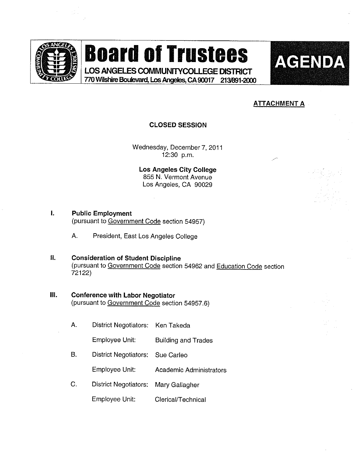

## **Board of Trustees**

LOS ANGELES COMMUNITYCOLLEGE DISTRICT 770 Wilshire Boulevard, Los Angeles, CA 90017 213/891-2000



## **ATTACHMENT A**

#### CLOSED SESSION

Wednesday, December 7, 2011 12:30 p.m.

Los Angeles City College 855 N. Vermont Avenue Los Angeles, CA 90029

I. Public Employment

(pursuant to Government Code section 54957)

A. President, East Los Angeles College

### II. Consideration of Student Discipline (pursuant to Government Code section 54962 and Education Code section 72122)

## III. Conference with Labor Negotiator

(pursuant to Government Code section 54957.6)

A. District Negotiators: Ken Takeda

Employee Unit: Building and Trades

B. District Negotiators: Sue Carfeo

Employee Unit: Academic Administrators

C. District Negotiators: Mary Gaflagher

Empfoyee Unit: Clerical/Technicai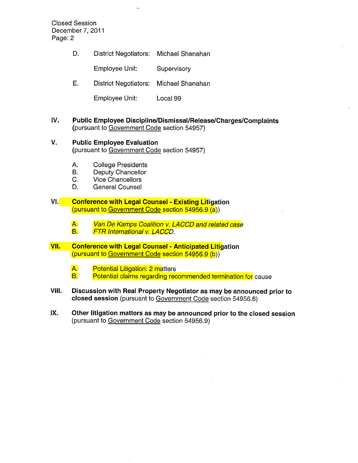Closed Session December 7, 2011 Page: 2

D. District Negotiators: Michael Shanahan

Employee Unit: Supervisory

E. District Negotiators: Michael Shanahan

Employee Unit: Locai 99

- IV. Public Employee Discipline/Dismissal/Release/Charges/Complaints (pursuant to Government Code section 54957)
- V. Public Employee Evaluation (pursuant to Government Code section 54957)
	- A. College Presidents<br>B. Deputy Chancellor
	- B. Deputy Chancellor<br>C. Vice Chancellors
	- Vice Chancellors
	- D. General Counsel
- VI. Conference with Legal Counsel Existing Litigation (pursuant to Government Code section 54956.9 (a))
	- A. Van De Kamps Coalition v. LACCD and related case<br>B. FTR International v. LACCD. **FTR International v. LACCD.**
- VII. Conference with Legal Counsel Anticipated Litigation (pursuant to Government Code section 54956.9 (b))
	- A. Potential Litigation: 2 matters<br>**B.** Potential claims regarding rec Potential claims regarding recommended termination for cause
- VIII. Discussion with Real Property Negotiator as may be announced prior to closed session (pursuant to Government Code section 54956.8)
- IX. Other litigation matters as may be announced prior to the closed session (pursuant to Government Code section 54956.9)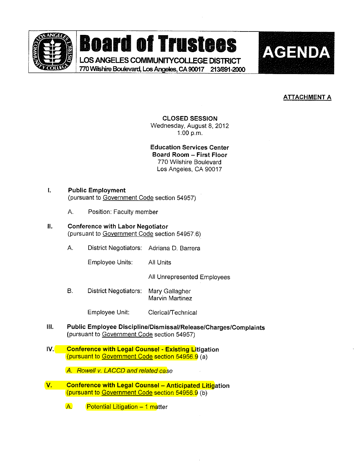

**Board of Trustees AGENDA** 

LOS ANGELES COMMUNITY COLLEGE DISTRICT 770 Wilshire Boulevard, Los Angeles, CA 90017 213/891-2000 .



## **ATTACHMENT A**

CLOSED SESSION

Wednesday, August 8, 2012 1:00 p.m.

Education Services Center Board Room - First Floor

770 Witshire Boulevard Los Angeles, CA 90017

#### I. Public Employment (pursuant to Government Code section 54957)

A. Position: Faculty member

#### II. Conference with Labor Negotiator (pursuant to Government Code section 54957,6)

A. District Negotiators: Adriana D. Barrera

Employee Units: All Units

All Unrepresented Employees

B. District Negotiators: Mary Gailagher Marvin Martinez

Employee Unit: Clerical/Technical

- IH. Public Employee Discipline/DismissaI/Release/Charges/Complaints (pursuant to Government Code section 54957)
- IV. Conference with Legal Counsel Existing Litigation (pursuant to Government Code section 54956.9 (a)

A. Rowell v. LACCD and related case

V. Conference with Legal Counsel - Anticipated Litigation (pursuant to Government Code section 54956.9 (b)

 $A.$  Potential Litigation  $-1$  matter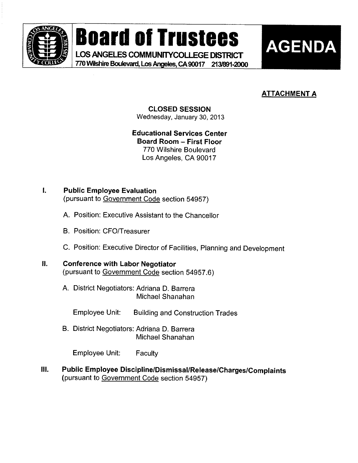

**THE Board of Trustees (GP) BOATO OI Trustees**<br>AGENDA LOS ANGELES COMMUNITYCOLLEGE DISTRICT **BEATHER ANGELIA ANGELIS COMMUNITYCOLLEGE DISTRICT** 

770 Wilshire Boulevard, Los Angeles, CA 90017 213/891-2000



## **ATTACHMENT A**

### CLOSED SESSION Wednesday, January 30,2013

Educational Services Center Board Room - First Floor 770 Wilshire Boulevard Los Angeles, CA 90017

#### L Public Employee Evaluation

(pursuant to Government Code section 54957)

- A. Position: Executive Assistant to the Chancellor
- B. Position: CFO/Treasurer
- C. Position: Executive Director of Facilities, Planning and Development

#### $II.$ Conference with Labor Negotiator

(pursuant to Government Code section 54957.6)

A. District Negotiators: Adrians D. Barrera Michael Shanahan

Employee Unit: Building and Construction Trades

B. District Negotiators: Adriana D. Barrera Michae! Shanahan

Employee Unit: Faculty

Public Employee Discipline/Dismissal/ReIease/Charges/Complaints III. (pursuant to Government Code section 54957)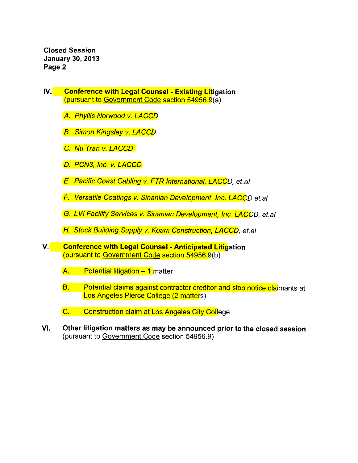Closed Session January 30, 2013 Page 2

- IV. Conference with Legal Counsel Existing Litigation (pursuant to Government Code section 54956.9(a)
	- A. Phyllis Norwood v. LACCD
	- **B.** Simon Kingsley v. LACCD
	- C. Nu Tran v. LACCD
	- D. PCN3, Inc. v. LACCD
	- E. Pacific Coast Cabling v. FTR International, LACCD, et.al
	- F. Versatile Coatings v. Sinanian Development, Inc. LACCD et.ai
	- G. LV! Facility Services v. Sinanian Development, Inc. LACCD, et.a!
	- H. Stock Building Supply v. Koam Construction, LACCD, et.al
- V. Conference with Legal Counsel Anticipated Litigation (pursuant to Government Code section 54956.9(b)
	- $A.$  Potential litigation  $-1$  matter
	- B. Potential claims against contractor creditor and stop notice claimants at Los Angeles Pierce College (2 matters)
	- C. Construction ciaim at Los Angeles City College
- VI. Other litigation matters as may be announced prior to the closed session (pursuant to Government Code section 54956.9)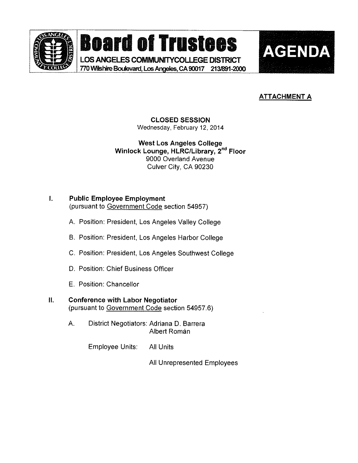

**Board of Trustees** 

LOS ANGELES COMMUNITYCOLLEGE DISTRICT 770 Wilshire Boulevard, Los Angeles, CA 90017 213/891-2000



## **ATTACHMENT A**

## CLOSED SESSION

Wednesday, February 12, 2014

West Los Angeles College Winlock Lounge, HLRC/Library, 2<sup>nd</sup> Floor 9000 Overland Avenue Culver City, CA 90230

### I. Public Employee Employment (pursuant to Government Code section 54957)

- A. Position: President, Los Angeles Valley College
- B. Position: President, Los Angeles Harbor College
- C. Position: President, Los Angeles Southwest College
- D. Position: Chief Business Officer
- E. Position: Chancellor

#### ΙΙ. Conference with Labor Negotiator

(pursuant to Government Code section 54957.6)

A. District Negotiators: Adriana D. Barrera Albert Roman

Employee Units: All Units

Ail Unrepresented Employees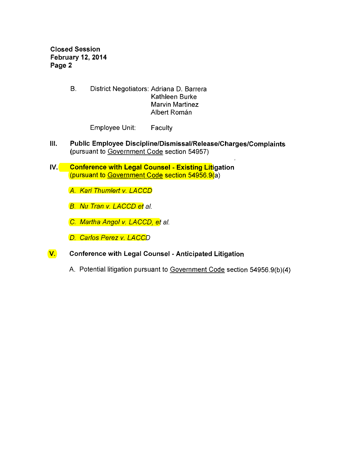Closed Session February 12, 2014 Page 2

> B. District Negotiators: Adriana D. Barrera Kathleen Burke Marvin Martinez **Albert Román**

> > Employee Unit: Faculty

- III. Public Employee Discipline/Dismissal/Release/Charges/Complaints (pursuant to Government Code section 54957)
- IV. Conference with Legal Counsel Existing Litigation (pursuant to Government Code section 54956.9(a)
	- A. Kari Thumlert v. LACCD

**B.** Nu Tran v, LACCD et al.

C. Martha Angol v. LACCD, et al.

D. Carlos Perez v. LACCD

- **V.** Conference with Legal Counsel Anticipated Litigation
	- A. Potential litigation pursuant to Government Code section 54956.9(b)(4)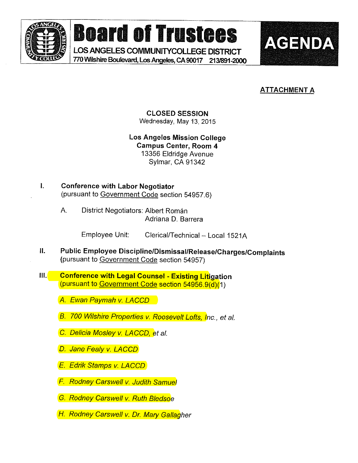

Board of Trustees AGENDA

LOS ANGELES COMMUNITYCOLLEGE DISTRICT 770 Wilshire Boulevard, Los Angeles, CA 90017 213/891-2000



## ATTACHMENT A

CLOSED SESSION Wednesday, May 13, 2015

Los Angeles Mission College Campus Center, Room 4 13356 Eldridge Avenue Sylmar, CA 91342

- » Conference with Labor Negotiator (pursuant to Government Code section 54957.6)
	- A. District Negotiators: Albert Román Adriana D. Barrera

Employee Unit: Clerical/Technical - Local 1521A

- Public Employee Discipline/Dismissal/Release/Charges/Complaints Ⅱ. (pursuant to Government Code section 54957)
- III. Conference with Legal Counsel Existing Litigation (pursuant to Government Code section 54956.9(d)(1)

A. Ewan Paymah v. LACCD

- B. 700 Wilshire Properties v. Roosevelt Lofts, Inc., et al.
- C. Delicia Mosley v. LACCD, et al.
- D. Jane Fealy v. LACCD
- **E. Edrik Stamps v. LACCD**
- F. Rodney Carswell v. Judith Samuel
- **G. Rodney Carswell v. Ruth Bledsoe**
- **H. Rodney Carswell v. Dr. Mary Gallag**her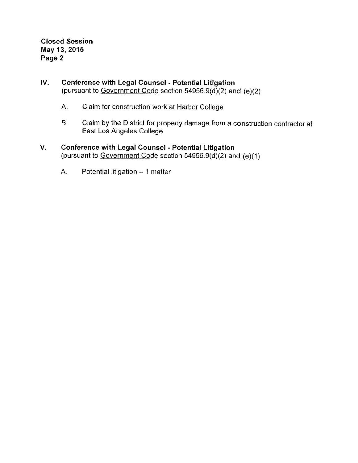Closed Session May 13,2015 Page 2

## IV. Conference with Legal Counsel - Potential Litigation (pursuant to Government Code section  $54956.9(\overline{d})(2)$  and  $(e)(2)$

- A. Claim for construction work at Harbor College
- B. Claim by the District for property damage from a construction contractor at East Los Angeles College

## V. Conference with Legal Counsel - Potential Litigation (pursuant to Government Code section  $54956.9(d)(2)$  and (e)(1)

A. Potential litigation  $-1$  matter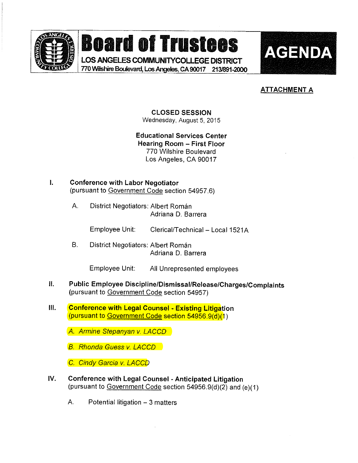

# **Board of Trustees AGENDA**

LOS ANGELES COMMUNITYCOLLEGE DISTRICT 770WiishireBouievard,LosAngeles,CA90017 213/891-2000 <sup>B</sup>



## **ATTACHMENT A**

CLOSED SESSION Wednesday, August 5, 2015

Educational Services Center Hearing Room - First Floor 770 Wilshire Boulevard Los Angeles, CA 90017

- . Conference with Labor Negotiator (pursuant to Government Code section 54957.6)
	- A. District Negotiators: Albert Roman Adriana D. Barrera

Employee Unit: Clerical/Technical - Local 1521A

B. District Negotiators: Albert Roman Adriana D. Barrera

Employee Unit: Aii Unrepresented employees

- $\mathbf{II}$ . Public Employee Discipline/Dismissal/Release/Charges/Complaints (pursuant to Government Code section 54957)
- $III.$ **Conference with Legal Counsel - Existing Litigation** (pursuant to Government Code section 54956.9(d)(1)

**A. Armine Stepanyan v. LACCD** 

**B. Rhonda Guess v. LACCD** 

C, Cindy Garcia v. LACCD

- IV. Conference with Legal Counsel Anticipated Litigation (pursuant to Government Code section 54956.9(d)(2) and (e)(1)
	- A. Potential litigation 3 matters